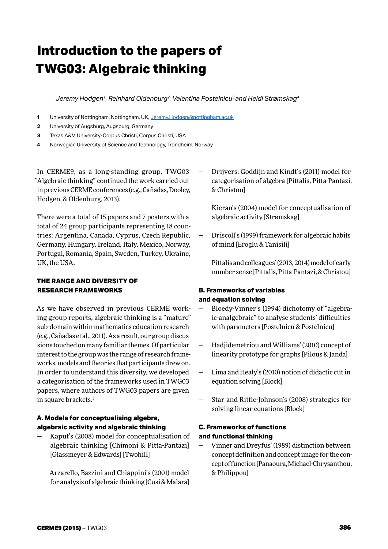# **Introduction to the papers of TWG03: Algebraic thinking**

*Jeremy Hodgen1, Reinhard Oldenburg2, Valentina Postelnicu3 and Heidi Strømskag4*

- **1** University of Nottingham, Nottingham, UK, [Jeremy.Hodgen@nottingham.ac.uk](mailto:Jeremy.Hodgen%40nottingham.ac.uk?subject=)
- **2** University of Augsburg, Augsburg, Germany
- **3** Texas A&M University-Corpus Christi, Corpus Christi, USA
- **4** Norwegian University of Science and Technology, Trondheim, Norway

In CERME9, as a long-standing group, TWG03 "Algebraic thinking" continued the work carried out in previous CERME conferences (e.g., Cañadas, Dooley, Hodgen, & Oldenburg, 2013).

There were a total of 15 papers and 7 posters with a total of 24 group participants representing 18 countries: Argentina, Canada, Cyprus, Czech Republic, Germany, Hungary, Ireland, Italy, Mexico, Norway, Portugal, Romania, Spain, Sweden, Turkey, Ukraine, UK, the USA.

#### **THE RANGE AND DIVERSITY OF RESEARCH FRAMEWORKS**

As we have observed in previous CERME working group reports, algebraic thinking is a "mature" sub-domain within mathematics education research (e.g., Cañadas et al., 2011). As a result, our group discussions touched on many familiar themes. Of particular interest to the group was the range of research frameworks, models and theories that participants drew on. In order to understand this diversity, we developed a categorisation of the frameworks used in TWG03 papers, where authors of TWG03 papers are given in square brackets.<sup>1</sup>

#### **A. Models for conceptualising algebra, algebraic activity and algebraic thinking**

- Kaput's (2008) model for conceptualisation of algebraic thinking [Chimoni & Pitta-Pantazi] [Glassmeyer & Edwards] [Twohill]
- ― Arzarello, Bazzini and Chiappini's (2001) model for analysis of algebraic thinking [Cusi & Malara]
- ― Drijvers, Goddijn and Kindt's (2011) model for categorisation of algebra [Pittalis, Pitta-Pantazi, & Christou]
- Kieran's (2004) model for conceptualisation of algebraic activity [Strømskag]
- ― Driscoll's (1999) framework for algebraic habits of mind [Eroglu & Tanisili]
- ― Pittalis and colleagues' (2013, 2014) model of early number sense [Pittalis, Pitta-Pantazi, & Christou]

# **B. Frameworks of variables and equation solving**

- ― Bloedy-Vinner's (1994) dichotomy of "algebraic-analgebraic" to analyse students' difficulties with parameters [Postelnicu & Postelnicu]
- ― Hadjidemetriou and Williams' (2010) concept of linearity prototype for graphs [Pilous & Janda]
- ― Lima and Healy's (2010) notion of didactic cut in equation solving [Block]
- Star and Rittle-Johnson's (2008) strategies for solving linear equations [Block]

# **C. Frameworks of functions and functional thinking**

Vinner and Dreyfus' (1989) distinction between concept definition and concept image for the concept of function [Panaoura, Michael-Chrysanthou, & Philippou]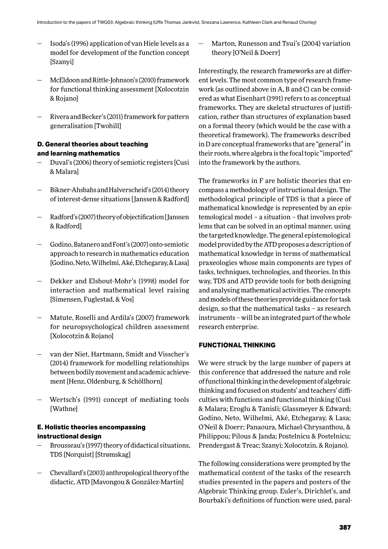- ― Isoda's (1996) application of van Hiele levels as a model for development of the function concept [Szanyi]
- McEldoon and Rittle-Johnson's (2010) framework for functional thinking assessment [Xolocotzin & Rojano]
- ― Rivera and Becker's (2011) framework for pattern generalisation [Twohill]

# **D. General theories about teaching and learning mathematics**

- ― Duval's (2006) theory of semiotic registers [Cusi & Malara]
- Bikner-Ahsbahs and Halverscheid's (2014) theory of interest-dense situations [Janssen & Radford]
- ― Radford's (2007) theory of objectification [Janssen & Radford]
- ― Godino, Batanero and Font's (2007) onto-semiotic approach to research in mathematics education [Godino, Neto, Wilhelmi, Aké, Etchegaray, & Lasa]
- ― Dekker and Elshout-Mohr's (1998) model for interaction and mathematical level raising [Simensen, Fuglestad, & Vos]
- Matute, Roselli and Ardila's (2007) framework for neuropsychological children assessment [Xolocotzin & Rojano]
- van der Niet, Hartmann, Smidt and Visscher's (2014) framework for modelling relationships between bodily movement and academic achievement [Henz, Oldenburg, & Schöllhorn]
- ― Wertsch's (1991) concept of mediating tools [Wathne]

# **E. Holistic theories encompassing instructional design**

- ― Brousseau's (1997) theory of didactical situations, TDS [Norquist] [Strømskag]
- ― Chevallard's (2003) anthropological theory of the didactic, ATD [Mavongou & González-Martin]

Marton, Runesson and Tsui's (2004) variation theory [O'Neil & Doerr]

Interestingly, the research frameworks are at different levels. The most common type of research framework (as outlined above in A, B and C) can be considered as what Eisenhart (1991) refers to as conceptual frameworks. They are skeletal structures of justification, rather than structures of explanation based on a formal theory (which would be the case with a theoretical framework). The frameworks described in D are conceptual frameworks that are "general" in their roots, where algebra is the focal topic "imported" into the framework by the authors.

The frameworks in F are holistic theories that encompass a methodology of instructional design. The methodological principle of TDS is that a piece of mathematical knowledge is represented by an epistemological model – a situation – that involves problems that can be solved in an optimal manner, using the targeted knowledge. The general epistemological model provided by the ATD proposes a description of mathematical knowledge in terms of mathematical praxeologies whose main components are types of tasks, techniques, technologies, and theories. In this way, TDS and ATD provide tools for both designing and analysing mathematical activities. The concepts and models of these theories provide guidance for task design, so that the mathematical tasks – as research instruments – will be an integrated part of the whole research enterprise.

# **FUNCTIONAL THINKING**

We were struck by the large number of papers at this conference that addressed the nature and role of functional thinking in the development of algebraic thinking and focused on students' and teachers' difficulties with functions and functional thinking (Cusi & Malara; Eroglu & Tanisli; Glassmeyer & Edward; Godino, Neto, Wilhelmi, Aké, Etchegaray, & Lasa; O'Neil & Doerr; Panaoura, Michael-Chrysanthou, & Philippou; Pilous & Janda; Postelnicu & Postelnicu; Prendergast & Treac; Szanyi; Xolocotzin, & Rojano).

The following considerations were prompted by the mathematical content of the tasks of the research studies presented in the papers and posters of the Algebraic Thinking group. Euler's, Dirichlet's, and Bourbaki's definitions of function were used, paral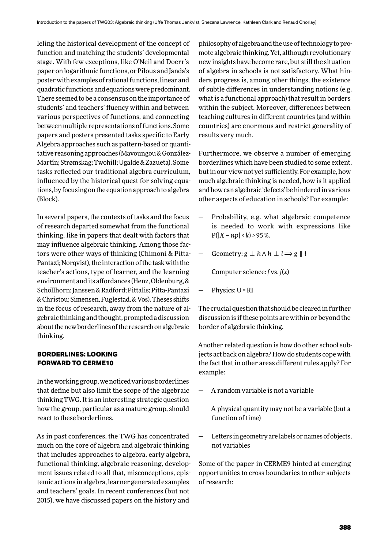leling the historical development of the concept of function and matching the students' developmental stage. With few exceptions, like O'Neil and Doerr's paper on logarithmic functions, or Pilous and Janda's poster with examples of rational functions, linear and quadratic functions and equations were predominant. There seemed to be a consensus on the importance of students' and teachers' fluency within and between various perspectives of functions, and connecting between multiple representations of functions. Some papers and posters presented tasks specific to Early Algebra approaches such as pattern-based or quantitative reasoning approaches (Mavoungou & González-Martín; Strømskag; Twohill; Ugalde & Zazueta). Some tasks reflected our traditional algebra curriculum, influenced by the historical quest for solving equations, by focusing on the equation approach to algebra (Block).

In several papers, the contexts of tasks and the focus of research departed somewhat from the functional thinking, like in papers that dealt with factors that may influence algebraic thinking. Among those factors were other ways of thinking (Chimoni & Pitta-Pantazi; Norqvist), the interaction of the task with the teacher's actions, type of learner, and the learning environment and its affordances (Henz, Oldenburg, & Schöllhorn; Janssen & Radford; Pittalis; Pitta-Pantazi & Christou; Simensen, Fuglestad, & Vos). Theses shifts in the focus of research, away from the nature of algebraic thinking and thought, prompted a discussion about the new borderlines of the research on algebraic thinking.

#### **BORDERLINES: LOOKING FORWARD TO CERME10**

In the working group, we noticed various borderlines that define but also limit the scope of the algebraic thinking TWG. It is an interesting strategic question how the group, particular as a mature group, should react to these borderlines.

As in past conferences, the TWG has concentrated much on the core of algebra and algebraic thinking that includes approaches to algebra, early algebra, functional thinking, algebraic reasoning, development issues related to all that, misconceptions, epistemic actions in algebra, learner generated examples and teachers' goals. In recent conferences (but not 2015), we have discussed papers on the history and

philosophy of algebra and the use of technology to promote algebraic thinking. Yet, although revolutionary new insights have become rare, but still the situation of algebra in schools is not satisfactory. What hinders progress is, among other things, the existence of subtle differences in understanding notions (e.g. what is a functional approach) that result in borders within the subject. Moreover, differences between teaching cultures in different countries (and within countries) are enormous and restrict generality of results very much.

Furthermore, we observe a number of emerging borderlines which have been studied to some extent, but in our view not yet sufficiently. For example, how much algebraic thinking is needed, how is it applied and how can algebraic 'defects' be hindered in various other aspects of education in schools? For example:

- Probability, e.g. what algebraic competence is needed to work with expressions like  $P(|X - np| < k) > 95$  %.
- Geometry:  $g \perp h \wedge h \perp l \Rightarrow g \parallel l$
- ― Computer science: *f* vs. *f*(*x*)
- ― Physics: U = RI

The crucial question that should be cleared in further discussion is if these points are within or beyond the border of algebraic thinking.

Another related question is how do other school subjects act back on algebra? How do students cope with the fact that in other areas different rules apply? For example:

- ― A random variable is not a variable
- ― A physical quantity may not be a variable (but a function of time)
- Letters in geometry are labels or names of objects, not variables

Some of the paper in CERME9 hinted at emerging opportunities to cross boundaries to other subjects of research: